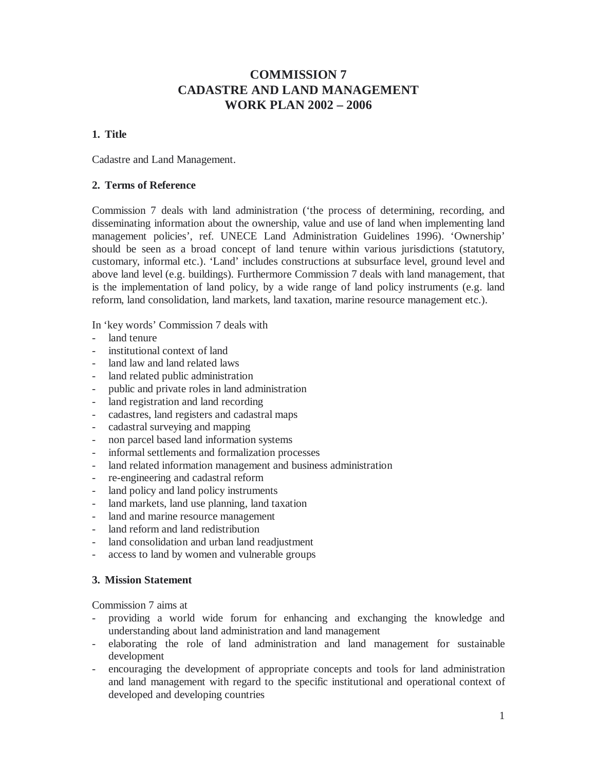# **COMMISSION 7 CADASTRE AND LAND MANAGEMENT WORK PLAN 2002 – 2006**

# **1. Title**

Cadastre and Land Management.

# **2. Terms of Reference**

Commission 7 deals with land administration ('the process of determining, recording, and disseminating information about the ownership, value and use of land when implementing land management policies', ref. UNECE Land Administration Guidelines 1996). 'Ownership' should be seen as a broad concept of land tenure within various jurisdictions (statutory, customary, informal etc.). 'Land' includes constructions at subsurface level, ground level and above land level (e.g. buildings). Furthermore Commission 7 deals with land management, that is the implementation of land policy, by a wide range of land policy instruments (e.g. land reform, land consolidation, land markets, land taxation, marine resource management etc.).

In 'key words' Commission 7 deals with

- land tenure
- institutional context of land
- land law and land related laws
- land related public administration
- public and private roles in land administration
- land registration and land recording
- cadastres, land registers and cadastral maps
- cadastral surveying and mapping
- non parcel based land information systems
- informal settlements and formalization processes
- land related information management and business administration
- re-engineering and cadastral reform
- land policy and land policy instruments
- land markets, land use planning, land taxation
- land and marine resource management
- land reform and land redistribution
- land consolidation and urban land readjustment
- access to land by women and vulnerable groups

#### **3. Mission Statement**

Commission 7 aims at

- providing a world wide forum for enhancing and exchanging the knowledge and understanding about land administration and land management
- elaborating the role of land administration and land management for sustainable development
- encouraging the development of appropriate concepts and tools for land administration and land management with regard to the specific institutional and operational context of developed and developing countries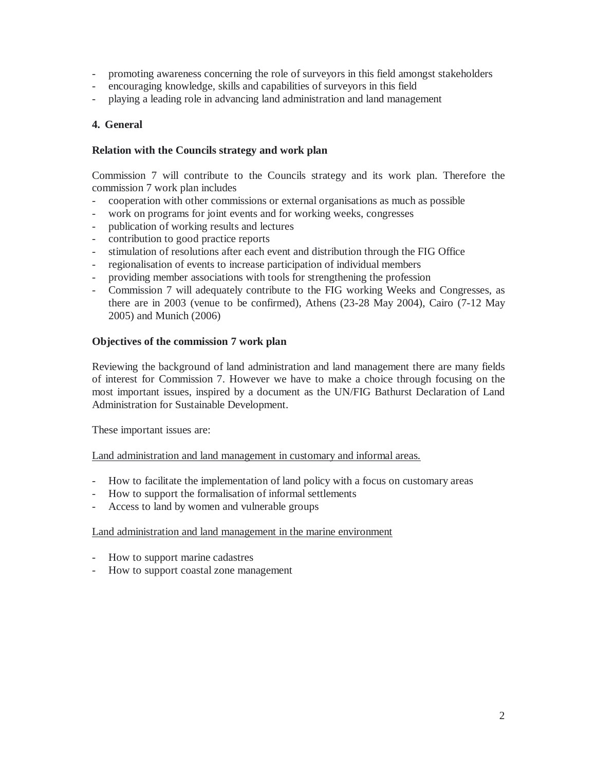- promoting awareness concerning the role of surveyors in this field amongst stakeholders
- encouraging knowledge, skills and capabilities of surveyors in this field
- playing a leading role in advancing land administration and land management

# **4. General**

## **Relation with the Councils strategy and work plan**

Commission 7 will contribute to the Councils strategy and its work plan. Therefore the commission 7 work plan includes

- cooperation with other commissions or external organisations as much as possible
- work on programs for joint events and for working weeks, congresses
- publication of working results and lectures
- contribution to good practice reports
- stimulation of resolutions after each event and distribution through the FIG Office
- regionalisation of events to increase participation of individual members
- providing member associations with tools for strengthening the profession
- Commission 7 will adequately contribute to the FIG working Weeks and Congresses, as there are in 2003 (venue to be confirmed), Athens (23-28 May 2004), Cairo (7-12 May 2005) and Munich (2006)

# **Objectives of the commission 7 work plan**

Reviewing the background of land administration and land management there are many fields of interest for Commission 7. However we have to make a choice through focusing on the most important issues, inspired by a document as the UN/FIG Bathurst Declaration of Land Administration for Sustainable Development.

These important issues are:

Land administration and land management in customary and informal areas.

- How to facilitate the implementation of land policy with a focus on customary areas
- How to support the formalisation of informal settlements
- Access to land by women and vulnerable groups

#### Land administration and land management in the marine environment

- How to support marine cadastres
- How to support coastal zone management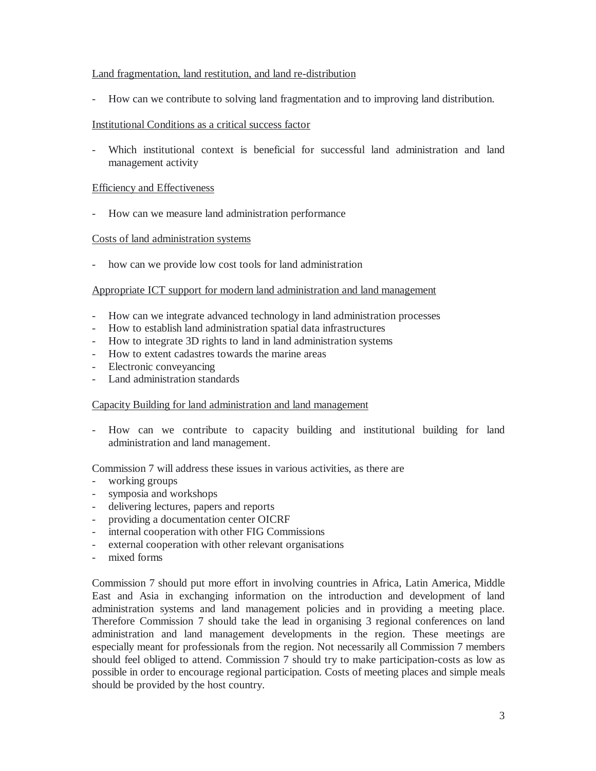#### Land fragmentation, land restitution, and land re-distribution

- How can we contribute to solving land fragmentation and to improving land distribution.

## Institutional Conditions as a critical success factor

- Which institutional context is beneficial for successful land administration and land management activity

#### Efficiency and Effectiveness

- How can we measure land administration performance

#### Costs of land administration systems

- how can we provide low cost tools for land administration

#### Appropriate ICT support for modern land administration and land management

- How can we integrate advanced technology in land administration processes
- How to establish land administration spatial data infrastructures
- How to integrate 3D rights to land in land administration systems
- How to extent cadastres towards the marine areas
- Electronic conveyancing
- Land administration standards

#### Capacity Building for land administration and land management

- How can we contribute to capacity building and institutional building for land administration and land management.

Commission 7 will address these issues in various activities, as there are

- working groups
- symposia and workshops
- delivering lectures, papers and reports
- providing a documentation center OICRF
- internal cooperation with other FIG Commissions
- external cooperation with other relevant organisations
- mixed forms

Commission 7 should put more effort in involving countries in Africa, Latin America, Middle East and Asia in exchanging information on the introduction and development of land administration systems and land management policies and in providing a meeting place. Therefore Commission 7 should take the lead in organising 3 regional conferences on land administration and land management developments in the region. These meetings are especially meant for professionals from the region. Not necessarily all Commission 7 members should feel obliged to attend. Commission 7 should try to make participation-costs as low as possible in order to encourage regional participation. Costs of meeting places and simple meals should be provided by the host country.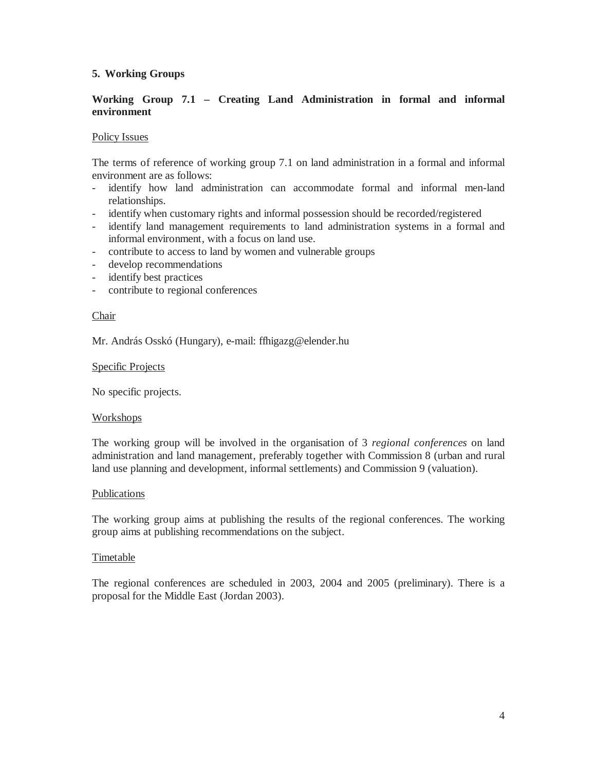# **5. Working Groups**

# **Working Group 7.1 – Creating Land Administration in formal and informal environment**

#### Policy Issues

The terms of reference of working group 7.1 on land administration in a formal and informal environment are as follows:

- identify how land administration can accommodate formal and informal men-land relationships.
- identify when customary rights and informal possession should be recorded/registered
- identify land management requirements to land administration systems in a formal and informal environment, with a focus on land use.
- contribute to access to land by women and vulnerable groups
- develop recommendations
- identify best practices
- contribute to regional conferences

#### Chair

Mr. András Osskó (Hungary), e-mail: ffhigazg@elender.hu

#### Specific Projects

No specific projects.

#### **Workshops**

The working group will be involved in the organisation of 3 *regional conferences* on land administration and land management, preferably together with Commission 8 (urban and rural land use planning and development, informal settlements) and Commission 9 (valuation).

#### Publications

The working group aims at publishing the results of the regional conferences. The working group aims at publishing recommendations on the subject.

#### Timetable

The regional conferences are scheduled in 2003, 2004 and 2005 (preliminary). There is a proposal for the Middle East (Jordan 2003).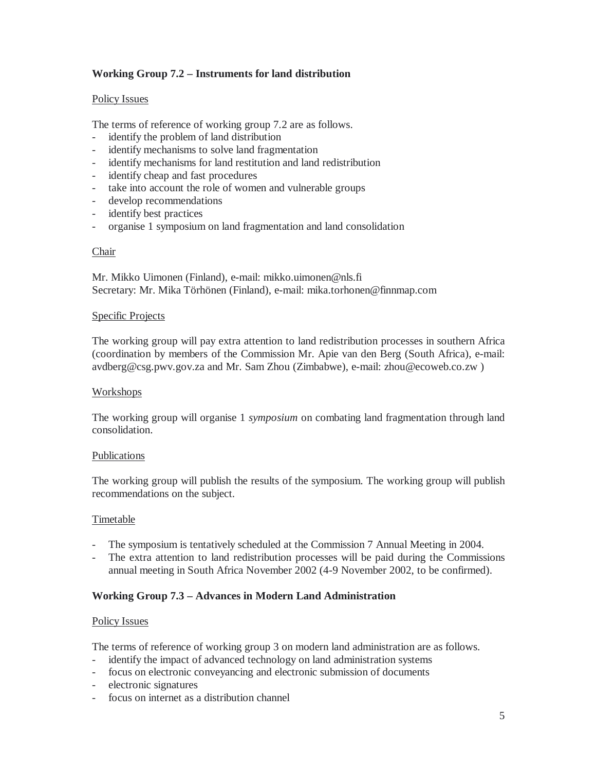# **Working Group 7.2 – Instruments for land distribution**

#### Policy Issues

The terms of reference of working group 7.2 are as follows.

- identify the problem of land distribution
- identify mechanisms to solve land fragmentation
- identify mechanisms for land restitution and land redistribution
- identify cheap and fast procedures
- take into account the role of women and vulnerable groups
- develop recommendations
- identify best practices
- organise 1 symposium on land fragmentation and land consolidation

#### Chair

Mr. Mikko Uimonen (Finland), e-mail: mikko.uimonen@nls.fi Secretary: Mr. Mika Törhönen (Finland), e-mail: mika.torhonen@finnmap.com

#### Specific Projects

The working group will pay extra attention to land redistribution processes in southern Africa (coordination by members of the Commission Mr. Apie van den Berg (South Africa), e-mail: avdberg@csg.pwv.gov.za and Mr. Sam Zhou (Zimbabwe), e-mail: zhou@ecoweb.co.zw )

#### Workshops

The working group will organise 1 *symposium* on combating land fragmentation through land consolidation.

#### Publications

The working group will publish the results of the symposium. The working group will publish recommendations on the subject.

#### Timetable

- The symposium is tentatively scheduled at the Commission 7 Annual Meeting in 2004.
- The extra attention to land redistribution processes will be paid during the Commissions annual meeting in South Africa November 2002 (4-9 November 2002, to be confirmed).

# **Working Group 7.3 – Advances in Modern Land Administration**

#### Policy Issues

The terms of reference of working group 3 on modern land administration are as follows.

- identify the impact of advanced technology on land administration systems
- focus on electronic conveyancing and electronic submission of documents
- electronic signatures
- focus on internet as a distribution channel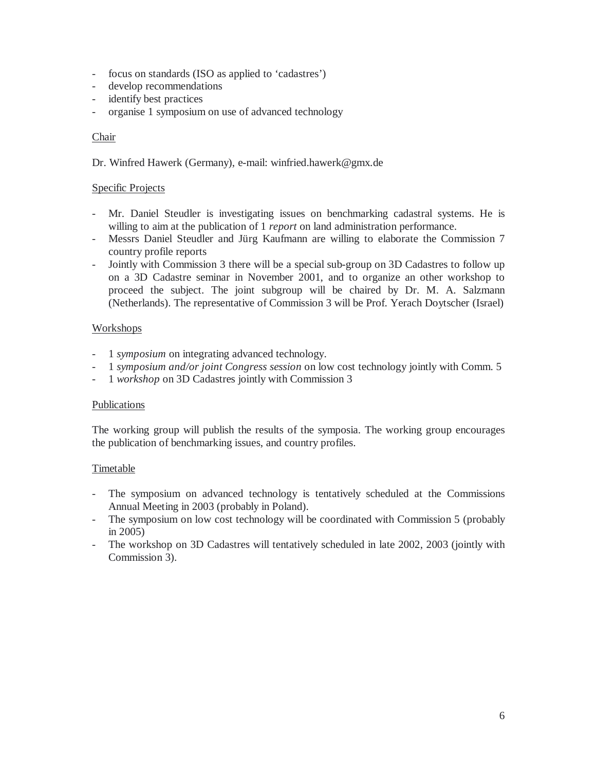- focus on standards (ISO as applied to 'cadastres')
- develop recommendations
- identify best practices
- organise 1 symposium on use of advanced technology

## Chair

Dr. Winfred Hawerk (Germany), e-mail: winfried.hawerk@gmx.de

## Specific Projects

- Mr. Daniel Steudler is investigating issues on benchmarking cadastral systems. He is willing to aim at the publication of 1 *report* on land administration performance.
- Messrs Daniel Steudler and Jürg Kaufmann are willing to elaborate the Commission 7 country profile reports
- Jointly with Commission 3 there will be a special sub-group on 3D Cadastres to follow up on a 3D Cadastre seminar in November 2001, and to organize an other workshop to proceed the subject. The joint subgroup will be chaired by Dr. M. A. Salzmann (Netherlands). The representative of Commission 3 will be Prof. Yerach Doytscher (Israel)

# Workshops

- 1 *symposium* on integrating advanced technology.
- 1 *symposium and/or joint Congress session* on low cost technology jointly with Comm. 5
- 1 *workshop* on 3D Cadastres jointly with Commission 3

#### **Publications**

The working group will publish the results of the symposia. The working group encourages the publication of benchmarking issues, and country profiles.

#### **Timetable**

- The symposium on advanced technology is tentatively scheduled at the Commissions Annual Meeting in 2003 (probably in Poland).
- The symposium on low cost technology will be coordinated with Commission 5 (probably in 2005)
- The workshop on 3D Cadastres will tentatively scheduled in late 2002, 2003 (jointly with Commission 3).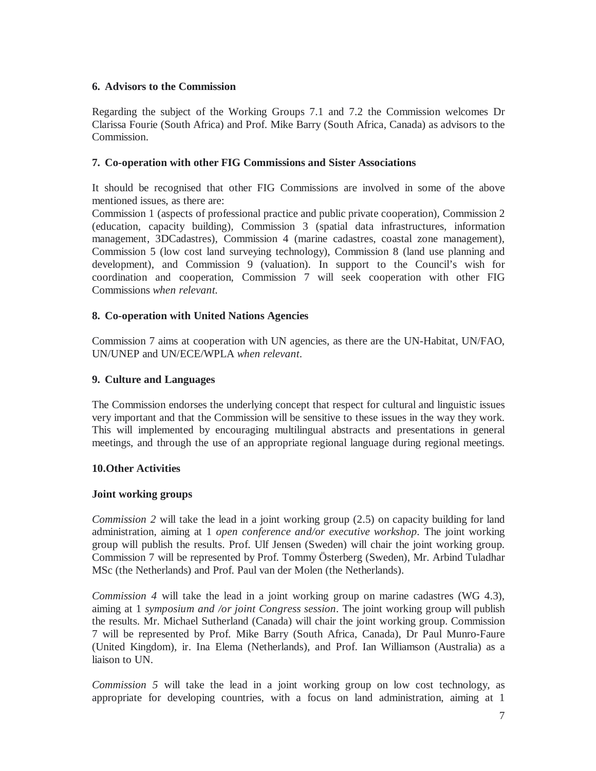# **6. Advisors to the Commission**

Regarding the subject of the Working Groups 7.1 and 7.2 the Commission welcomes Dr Clarissa Fourie (South Africa) and Prof. Mike Barry (South Africa, Canada) as advisors to the Commission.

## **7. Co-operation with other FIG Commissions and Sister Associations**

It should be recognised that other FIG Commissions are involved in some of the above mentioned issues, as there are:

Commission 1 (aspects of professional practice and public private cooperation), Commission 2 (education, capacity building), Commission 3 (spatial data infrastructures, information management, 3DCadastres), Commission 4 (marine cadastres, coastal zone management), Commission 5 (low cost land surveying technology), Commission 8 (land use planning and development), and Commission 9 (valuation). In support to the Council's wish for coordination and cooperation, Commission 7 will seek cooperation with other FIG Commissions *when relevant.* 

# **8. Co-operation with United Nations Agencies**

Commission 7 aims at cooperation with UN agencies, as there are the UN-Habitat, UN/FAO, UN/UNEP and UN/ECE/WPLA *when relevant*.

## **9. Culture and Languages**

The Commission endorses the underlying concept that respect for cultural and linguistic issues very important and that the Commission will be sensitive to these issues in the way they work. This will implemented by encouraging multilingual abstracts and presentations in general meetings, and through the use of an appropriate regional language during regional meetings.

# **10.Other Activities**

#### **Joint working groups**

*Commission 2* will take the lead in a joint working group (2.5) on capacity building for land administration, aiming at 1 *open conference and/or executive workshop.* The joint working group will publish the results. Prof. Ulf Jensen (Sweden) will chair the joint working group. Commission 7 will be represented by Prof. Tommy Österberg (Sweden), Mr. Arbind Tuladhar MSc (the Netherlands) and Prof. Paul van der Molen (the Netherlands).

*Commission 4* will take the lead in a joint working group on marine cadastres (WG 4.3), aiming at 1 *symposium and /or joint Congress session*. The joint working group will publish the results. Mr. Michael Sutherland (Canada) will chair the joint working group. Commission 7 will be represented by Prof. Mike Barry (South Africa, Canada), Dr Paul Munro-Faure (United Kingdom), ir. Ina Elema (Netherlands), and Prof. Ian Williamson (Australia) as a liaison to UN.

*Commission 5* will take the lead in a joint working group on low cost technology, as appropriate for developing countries, with a focus on land administration, aiming at 1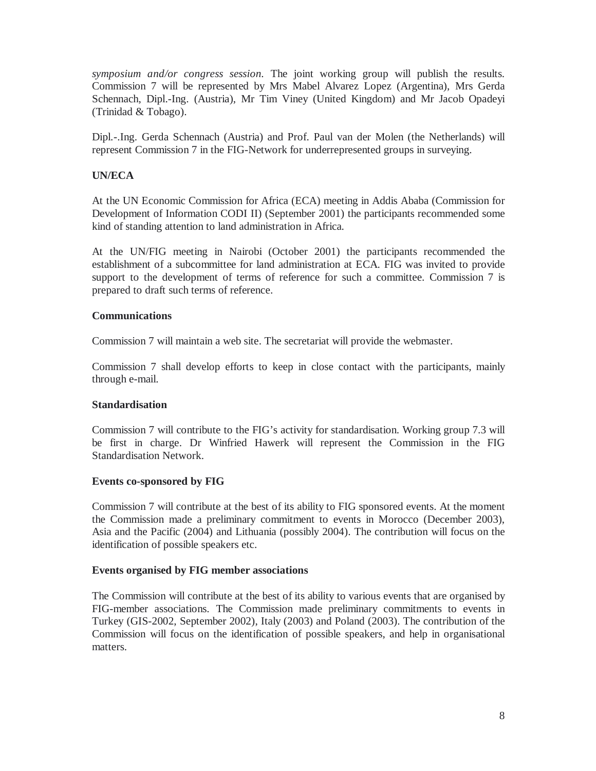*symposium and/or congress session.* The joint working group will publish the results. Commission 7 will be represented by Mrs Mabel Alvarez Lopez (Argentina), Mrs Gerda Schennach, Dipl.-Ing. (Austria), Mr Tim Viney (United Kingdom) and Mr Jacob Opadeyi (Trinidad & Tobago).

Dipl.-.Ing. Gerda Schennach (Austria) and Prof. Paul van der Molen (the Netherlands) will represent Commission 7 in the FIG-Network for underrepresented groups in surveying.

# **UN/ECA**

At the UN Economic Commission for Africa (ECA) meeting in Addis Ababa (Commission for Development of Information CODI II) (September 2001) the participants recommended some kind of standing attention to land administration in Africa.

At the UN/FIG meeting in Nairobi (October 2001) the participants recommended the establishment of a subcommittee for land administration at ECA. FIG was invited to provide support to the development of terms of reference for such a committee. Commission 7 is prepared to draft such terms of reference.

#### **Communications**

Commission 7 will maintain a web site. The secretariat will provide the webmaster.

Commission 7 shall develop efforts to keep in close contact with the participants, mainly through e-mail.

#### **Standardisation**

Commission 7 will contribute to the FIG's activity for standardisation. Working group 7.3 will be first in charge. Dr Winfried Hawerk will represent the Commission in the FIG Standardisation Network.

#### **Events co-sponsored by FIG**

Commission 7 will contribute at the best of its ability to FIG sponsored events. At the moment the Commission made a preliminary commitment to events in Morocco (December 2003), Asia and the Pacific (2004) and Lithuania (possibly 2004). The contribution will focus on the identification of possible speakers etc.

#### **Events organised by FIG member associations**

The Commission will contribute at the best of its ability to various events that are organised by FIG-member associations. The Commission made preliminary commitments to events in Turkey (GIS-2002, September 2002), Italy (2003) and Poland (2003). The contribution of the Commission will focus on the identification of possible speakers, and help in organisational matters.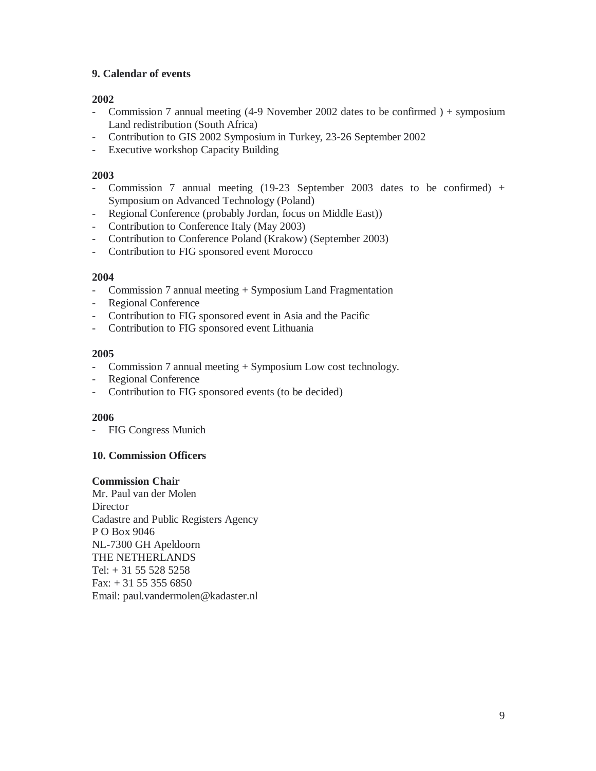# **9. Calendar of events**

# **2002**

- Commission 7 annual meeting (4-9 November 2002 dates to be confirmed ) + symposium Land redistribution (South Africa)
- Contribution to GIS 2002 Symposium in Turkey, 23-26 September 2002
- Executive workshop Capacity Building

# **2003**

- Commission 7 annual meeting (19-23 September 2003 dates to be confirmed) + Symposium on Advanced Technology (Poland)
- Regional Conference (probably Jordan, focus on Middle East))
- Contribution to Conference Italy (May 2003)
- Contribution to Conference Poland (Krakow) (September 2003)
- Contribution to FIG sponsored event Morocco

#### **2004**

- Commission 7 annual meeting + Symposium Land Fragmentation
- Regional Conference
- Contribution to FIG sponsored event in Asia and the Pacific
- Contribution to FIG sponsored event Lithuania

# **2005**

- Commission 7 annual meeting + Symposium Low cost technology.
- Regional Conference
- Contribution to FIG sponsored events (to be decided)

#### **2006**

- FIG Congress Munich

#### **10. Commission Officers**

#### **Commission Chair**

Mr. Paul van der Molen **Director** Cadastre and Public Registers Agency P O Box 9046 NL-7300 GH Apeldoorn THE NETHERLANDS Tel: + 31 55 528 5258 Fax: + 31 55 355 6850 Email: paul.vandermolen@kadaster.nl